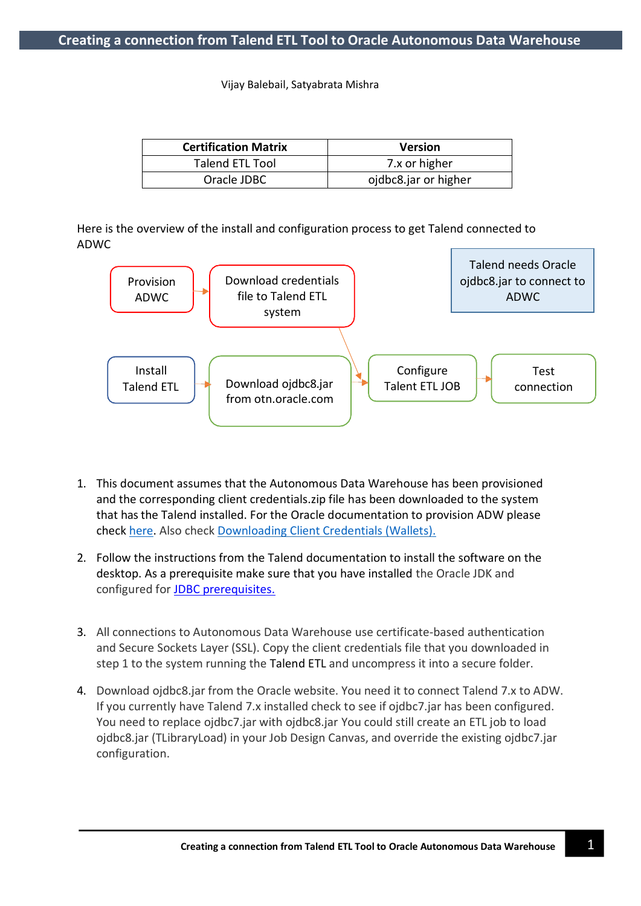Vijay Balebail, Satyabrata Mishra

| <b>Certification Matrix</b> | <b>Version</b>       |  |
|-----------------------------|----------------------|--|
| <b>Talend ETL Tool</b>      | 7.x or higher        |  |
| Oracle JDBC                 | ojdbc8.jar or higher |  |

Here is the overview of the install and configuration process to get Talend connected to ADWC



- 1. This document assumes that the Autonomous Data Warehouse has been provisioned and the corresponding client credentials.zip file has been downloaded to the system that has the Talend installed. For the Oracle documentation to provision ADW please check [here.](https://docs.oracle.com/en/cloud/paas/autonomous-database/adbsa/autonomous-provision.html#GUID-0B230036-0A05-4CA3-AF9D-97A255AE0C08) Also check [Downloading Client Credentials](https://docs.oracle.com/en/cloud/paas/autonomous-database/adbsa/connect-download-wallet.html#GUID-B06202D2-0597-41AA-9481-3B174F75D4B1) (Wallets).
- 2. Follow the instructions from the Talend documentation to install the software on the desktop. As a prerequisite make sure that you have installed the Oracle JDK and configured for JDBC prerequisites.
- 3. All connections to Autonomous Data Warehouse use certificate-based authentication and Secure Sockets Layer (SSL). Copy the client credentials file that you downloaded in step 1 to the system running the Talend ETL and uncompress it into a secure folder.
- 4. Download ojdbc8.jar from the Oracle website. You need it to connect Talend 7.x to ADW. If you currently have Talend 7.x installed check to see if ojdbc7.jar has been configured. You need to replace ojdbc7.jar with ojdbc8.jar You could still create an ETL job to load ojdbc8.jar (TLibraryLoad) in your Job Design Canvas, and override the existing ojdbc7.jar configuration.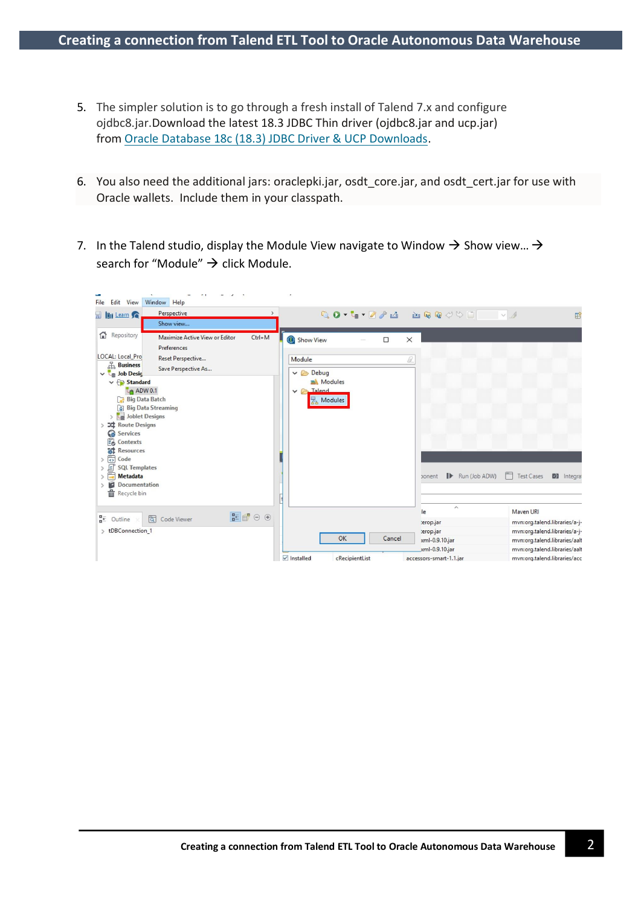- 5. The simpler solution is to go through a fresh install of Talend 7.x and configure ojdbc8.jar.Download the latest 18.3 JDBC Thin driver (ojdbc8.jar and ucp.jar) from [Oracle Database 18c \(18.3\) JDBC Driver & UCP Downloads.](https://www.oracle.com/technetwork/database/application-development/jdbc/downloads/jdbc-ucp-183-5013470.html)
- 6. You also need the additional jars: oraclepki.jar, osdt\_core.jar, and osdt\_cert.jar for use with Oracle wallets. Include them in your classpath.
- 7. In the Talend studio, display the Module View navigate to Window  $\rightarrow$  Show view...  $\rightarrow$ search for "Module"  $\rightarrow$  click Module.

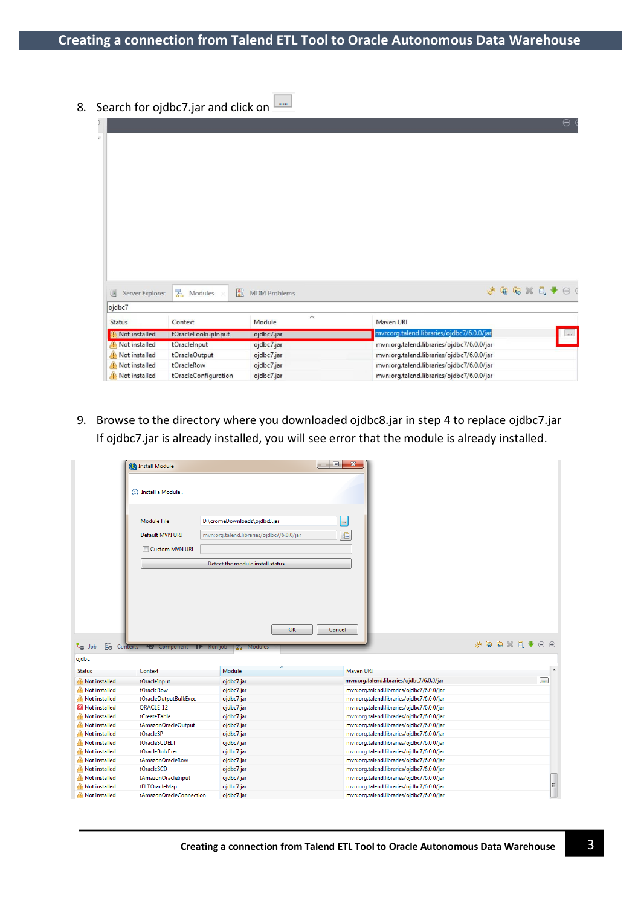8. Search for ojdbc7.jar and click on  $\boxed{...}$ 

|                      |                            |                     | Θ                                             |  |  |  |
|----------------------|----------------------------|---------------------|-----------------------------------------------|--|--|--|
|                      |                            |                     |                                               |  |  |  |
|                      |                            |                     |                                               |  |  |  |
|                      |                            |                     |                                               |  |  |  |
|                      |                            |                     |                                               |  |  |  |
|                      |                            |                     |                                               |  |  |  |
|                      |                            |                     |                                               |  |  |  |
|                      |                            |                     |                                               |  |  |  |
|                      |                            |                     |                                               |  |  |  |
|                      |                            |                     |                                               |  |  |  |
|                      |                            |                     |                                               |  |  |  |
|                      |                            |                     |                                               |  |  |  |
|                      |                            |                     |                                               |  |  |  |
|                      |                            |                     |                                               |  |  |  |
| 通<br>Server Explorer | 圖<br>국 Modules             | <b>MDM</b> Problems | ⊝                                             |  |  |  |
| ojdbc7               |                            |                     |                                               |  |  |  |
| <b>Status</b>        | Context                    | $\wedge$<br>Module  | Maven URI                                     |  |  |  |
| Not installed        | tOracleLookupInput         | ojdbc7.jar          | mvn:org.talend.libraries/ojdbc7/6.0.0/jar<br> |  |  |  |
| Not installed        | tOracleInput<br>ojdbc7.jar |                     | mvn:org.talend.libraries/ojdbc7/6.0.0/jar     |  |  |  |
| Not installed        | tOracleOutput              | ojdbc7.jar          | mvn:org.talend.libraries/ojdbc7/6.0.0/jar     |  |  |  |
| Not installed        | tOracleRow                 | ojdbc7.jar          | mvn:org.talend.libraries/ojdbc7/6.0.0/jar     |  |  |  |
| Not installed        | tOracleConfiguration       | ojdbc7.jar          | mvn:org.talend.libraries/ojdbc7/6.0.0/jar     |  |  |  |

9. Browse to the directory where you downloaded ojdbc8.jar in step 4 to replace ojdbc7.jar If ojdbc7.jar is already installed, you will see error that the module is already installed.

|                                | <b>O</b> Install Module                                 |                                                                           | $\qquad \qquad \Box$<br>$\mathbf{x}$                                                   |                  |
|--------------------------------|---------------------------------------------------------|---------------------------------------------------------------------------|----------------------------------------------------------------------------------------|------------------|
|                                | (i) Install a Module.                                   |                                                                           |                                                                                        |                  |
|                                | <b>Module File</b><br>Default MVN URI<br>Custom MVN URI | D:\cromeDownloads\ojdbc8.jar<br>mvn:org.talend.libraries/ojdbc7/6.0.0/jar | w.<br>自                                                                                |                  |
|                                |                                                         | Detect the module install status                                          |                                                                                        |                  |
| $L_{\equiv}$ Job               | <b>E</b> Contexts <b>PD</b> Component                   | OK<br><b>Kun job</b><br><b>F<sub>B</sub></b> Module                       | Cancel                                                                                 |                  |
| ojdbc                          |                                                         |                                                                           |                                                                                        |                  |
| <b>Status</b>                  | Context                                                 | Module                                                                    | Mayen URI                                                                              | $\blacktriangle$ |
| Not installed                  | tOracleInput                                            | ojdbc7.jar                                                                | mvn:org.talend.libraries/ojdbc7/6.0.0/jar                                              | $\mathbf{m}$     |
| Not installed                  | tOracleRow                                              | ojdbc7.jar                                                                | mvn:org.talend.libraries/ojdbc7/6.0.0/jar                                              |                  |
| Not installed                  | tOracleOutputBulkExec                                   | ojdbc7.jar                                                                | mvn:org.talend.libraries/ojdbc7/6.0.0/jar                                              |                  |
| <sup>2</sup> Not installed     | <b>ORACLE 12</b>                                        | ojdbc7.jar                                                                | mvn:org.talend.libraries/ojdbc7/6.0.0/jar                                              |                  |
| Not installed                  | tCreateTable                                            | ojdbc7.jar                                                                | mvn:org.talend.libraries/ojdbc7/6.0.0/jar                                              |                  |
| Not installed                  | tAmazonOracleOutput                                     | ojdbc7.jar                                                                | mvn:org.talend.libraries/ojdbc7/6.0.0/jar                                              |                  |
| Not installed                  | tOracleSP                                               | ojdbc7.jar                                                                | mvn:org.talend.libraries/ojdbc7/6.0.0/jar                                              |                  |
| Not installed                  | tOracleSCDELT                                           | ojdbc7.jar                                                                | mvn:org.talend.libraries/ojdbc7/6.0.0/jar                                              |                  |
| Not installed                  | <b>tOracleBulkExec</b>                                  | ojdbc7.jar                                                                | mvn:org.talend.libraries/ojdbc7/6.0.0/jar                                              |                  |
| Not installed                  |                                                         |                                                                           |                                                                                        |                  |
| Not installed                  | tAmazonOracleRow                                        | ojdbc7.jar                                                                | mvn:org.talend.libraries/ojdbc7/6.0.0/jar                                              |                  |
|                                | tOracleSCD                                              | ojdbc7.jar                                                                | mvn:org.talend.libraries/ojdbc7/6.0.0/jar                                              |                  |
| Not installed                  | tAmazonOracleInput                                      | ojdbc7.jar                                                                | mvn:org.talend.libraries/ojdbc7/6.0.0/jar                                              |                  |
| Not installed<br>Not installed | tELTOracleMap<br>tAmazonOracleConnection                | ojdbc7.jar<br>ojdbc7.jar                                                  | mvn:org.talend.libraries/ojdbc7/6.0.0/jar<br>mvn:org.talend.libraries/ojdbc7/6.0.0/jar | F                |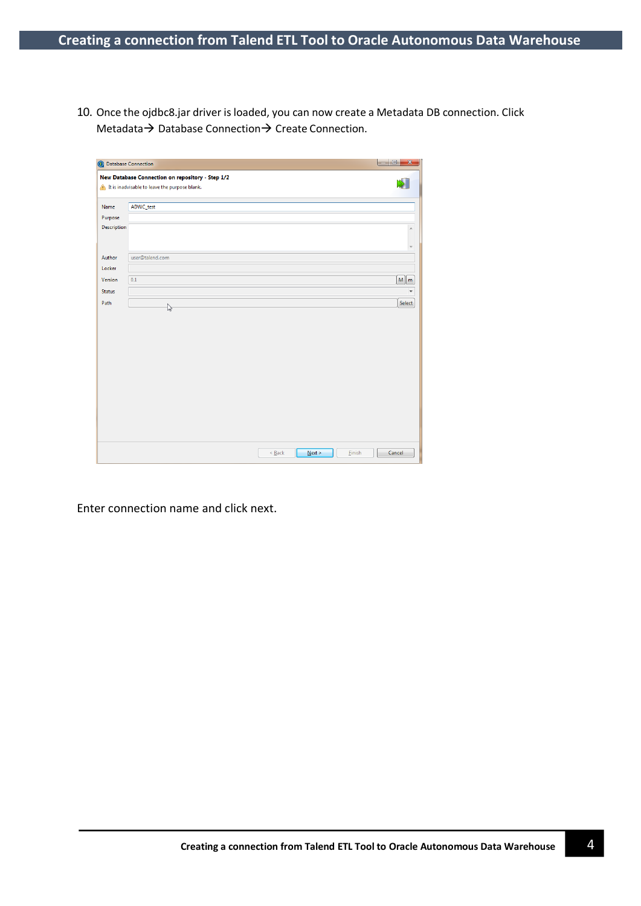10. Once the ojdbc8.jar driver is loaded, you can now create a Metadata DB connection. Click Metadata  $\rightarrow$  Database Connection  $\rightarrow$  Create Connection.

|               | New Database Connection on repository - Step 1/2<br>It is inadvisable to leave the purpose blank. |                          |
|---------------|---------------------------------------------------------------------------------------------------|--------------------------|
| Name          | ADWC_test                                                                                         |                          |
| Purpose       |                                                                                                   |                          |
| Description   |                                                                                                   | $\overline{a}$           |
| Author        | user@talend.com                                                                                   |                          |
| Locker        |                                                                                                   |                          |
| Version       | 0.1                                                                                               | $M \mid m$               |
| <b>Status</b> |                                                                                                   | $\overline{\phantom{a}}$ |
| Path          |                                                                                                   | Select                   |
|               | $\mathbb{Z}$                                                                                      |                          |
|               |                                                                                                   |                          |
|               |                                                                                                   |                          |
|               |                                                                                                   |                          |
|               |                                                                                                   |                          |
|               |                                                                                                   |                          |
|               |                                                                                                   |                          |
|               |                                                                                                   |                          |
|               |                                                                                                   |                          |
|               |                                                                                                   |                          |
|               |                                                                                                   |                          |
|               |                                                                                                   |                          |
|               |                                                                                                   |                          |
|               |                                                                                                   |                          |

Enter connection name and click next.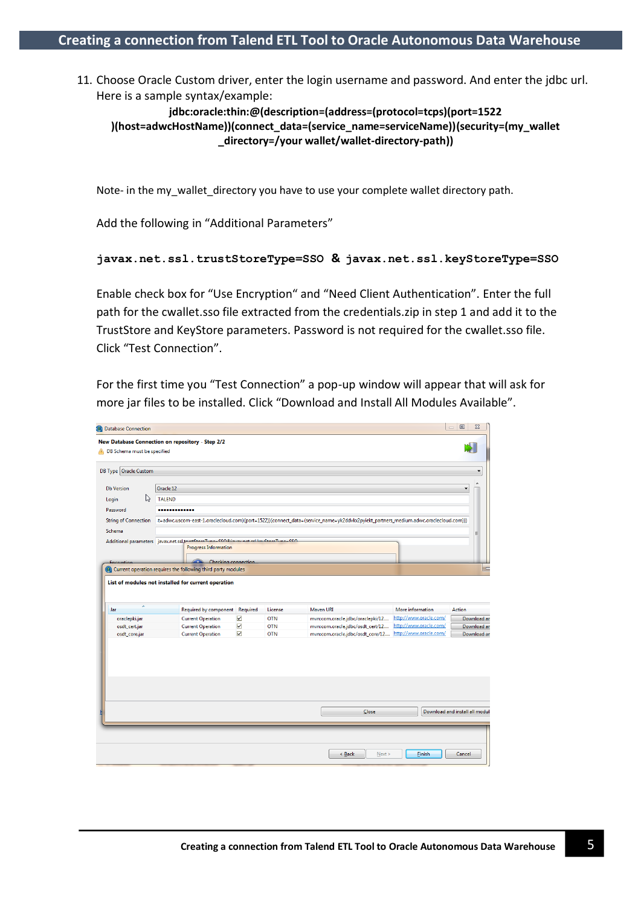11. Choose Oracle Custom driver, enter the login username and password. And enter the jdbc url. Here is a sample syntax/example:

**jdbc:oracle:thin:@(description=(address=(protocol=tcps)(port=1522 )(host=adwcHostName))(connect\_data=(service\_name=serviceName))(security=(my\_wallet \_directory=/your wallet/wallet-directory-path))**

Note- in the my\_wallet\_directory you have to use your complete wallet directory path.

Add the following in "Additional Parameters"

## **javax.net.ssl.trustStoreType=SSO & javax.net.ssl.keyStoreType=SSO**

Enable check box for "Use Encryption" and "Need Client Authentication". Enter the full path for the cwallet.sso file extracted from the credentials.zip in step 1 and add it to the TrustStore and KeyStore parameters. Password is not required for the cwallet.sso file. Click "Test Connection".

For the first time you "Test Connection" a pop-up window will appear that will ask for more jar files to be installed. Click "Download and Install All Modules Available".

| <b>C</b> Database Connection |                                                                                       |                      |            |                                                                                                                                     |                        | $\qquad \qquad \Box$<br>$\Sigma$<br>$\qquad \qquad =$ |
|------------------------------|---------------------------------------------------------------------------------------|----------------------|------------|-------------------------------------------------------------------------------------------------------------------------------------|------------------------|-------------------------------------------------------|
| DB Schema must be specified  | New Database Connection on repository - Step 2/2                                      |                      |            |                                                                                                                                     |                        |                                                       |
| DB Type   Oracle Custom      |                                                                                       |                      |            |                                                                                                                                     |                        |                                                       |
| <b>Db Version</b>            | Oracle 12                                                                             |                      |            |                                                                                                                                     |                        | ▲                                                     |
| い<br>Login                   | <b>TALEND</b>                                                                         |                      |            |                                                                                                                                     |                        |                                                       |
| Password                     |                                                                                       |                      |            |                                                                                                                                     |                        |                                                       |
| <b>String of Connection</b>  |                                                                                       |                      |            | t=adwc.uscom-east-1.oraclecloud.com)(port=1522))(connect_data=(service_name=yk2ddvkx2pyiekt_partners_medium.adwc.oraclecloud.com))) |                        |                                                       |
| Schema                       |                                                                                       |                      |            |                                                                                                                                     |                        | Ξ                                                     |
|                              | Additional parameters javax.net.ssl.tumbEtaraTuna-SSORinusu nat rel leu StaraTuna-SSO |                      |            |                                                                                                                                     |                        |                                                       |
|                              | <b>Progress Information</b>                                                           |                      |            |                                                                                                                                     |                        |                                                       |
| Encounting                   | Checking connection.                                                                  |                      |            |                                                                                                                                     |                        |                                                       |
|                              | Current operation requires the following third party modules                          |                      |            |                                                                                                                                     |                        | $\equiv$                                              |
| ×<br>Jar                     | <b>Required by component</b>                                                          | Required             | License    | Maven URI                                                                                                                           | More information       | Action                                                |
| oraclepki.jar                | <b>Current Operation</b>                                                              | ☑                    | <b>OTN</b> | mvn:com.oracle.jdbc/oraclepki/12                                                                                                    | http://www.oracle.com/ | Download ar                                           |
| osdt_cert.jar                | <b>Current Operation</b>                                                              | ☑                    | <b>OTN</b> | mvn:com.oracle.jdbc/osdt_cert/12                                                                                                    | http://www.oracle.com/ | Download ar                                           |
| osdt_core.jar                | <b>Current Operation</b>                                                              | $\blacktriangledown$ | <b>OTN</b> | mvn:com.oracle.jdbc/osdt_core/12                                                                                                    | http://www.oracle.com/ | Download ar                                           |
|                              |                                                                                       |                      |            | Close                                                                                                                               |                        | Download and install all modul                        |
|                              |                                                                                       |                      |            | Next<br>< Back                                                                                                                      | Finish                 | Cancel                                                |